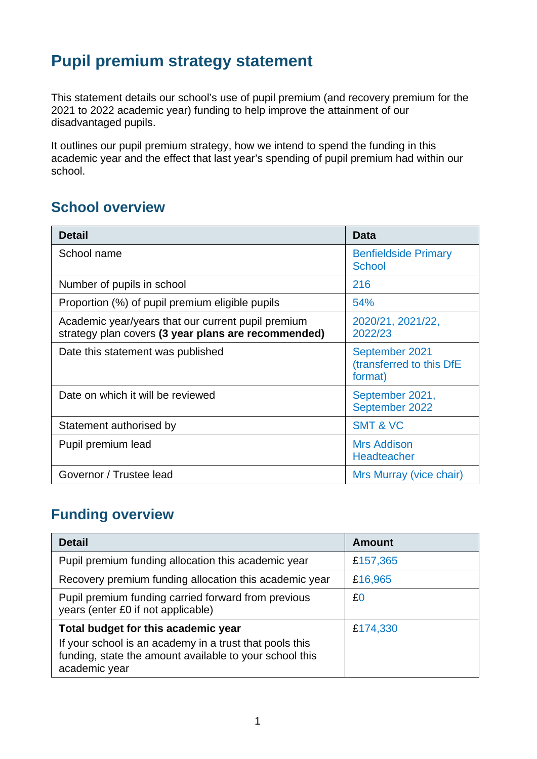# **Pupil premium strategy statement**

This statement details our school's use of pupil premium (and recovery premium for the 2021 to 2022 academic year) funding to help improve the attainment of our disadvantaged pupils.

It outlines our pupil premium strategy, how we intend to spend the funding in this academic year and the effect that last year's spending of pupil premium had within our school.

## **School overview**

| <b>Detail</b>                                                                                             | <b>Data</b>                                           |
|-----------------------------------------------------------------------------------------------------------|-------------------------------------------------------|
| School name                                                                                               | <b>Benfieldside Primary</b><br><b>School</b>          |
| Number of pupils in school                                                                                | 216                                                   |
| Proportion (%) of pupil premium eligible pupils                                                           | 54%                                                   |
| Academic year/years that our current pupil premium<br>strategy plan covers (3 year plans are recommended) | 2020/21, 2021/22,<br>2022/23                          |
| Date this statement was published                                                                         | September 2021<br>(transferred to this DfE<br>format) |
| Date on which it will be reviewed                                                                         | September 2021,<br>September 2022                     |
| Statement authorised by                                                                                   | <b>SMT &amp; VC</b>                                   |
| Pupil premium lead                                                                                        | <b>Mrs Addison</b><br><b>Headteacher</b>              |
| Governor / Trustee lead                                                                                   | Mrs Murray (vice chair)                               |

### **Funding overview**

| <b>Detail</b>                                                                                                                       | <b>Amount</b> |
|-------------------------------------------------------------------------------------------------------------------------------------|---------------|
| Pupil premium funding allocation this academic year                                                                                 | £157,365      |
| Recovery premium funding allocation this academic year                                                                              | £16,965       |
| Pupil premium funding carried forward from previous<br>years (enter £0 if not applicable)                                           | £0            |
| Total budget for this academic year                                                                                                 | £174,330      |
| If your school is an academy in a trust that pools this<br>funding, state the amount available to your school this<br>academic year |               |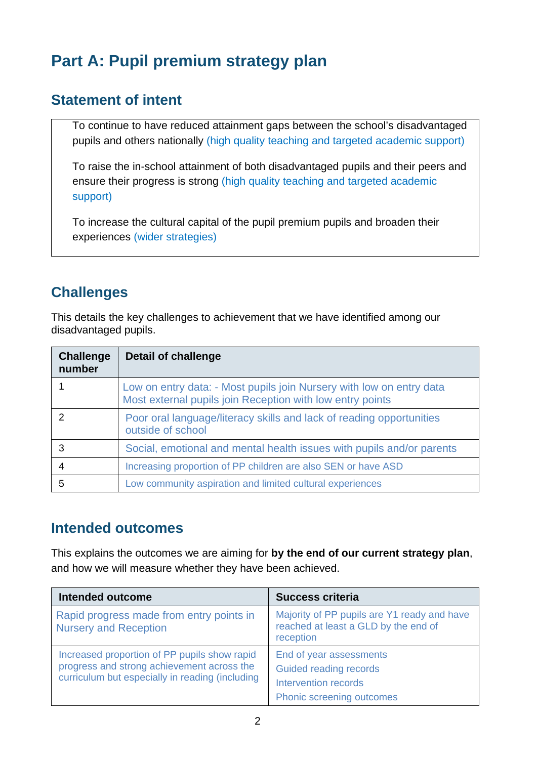# **Part A: Pupil premium strategy plan**

### **Statement of intent**

To continue to have reduced attainment gaps between the school's disadvantaged pupils and others nationally (high quality teaching and targeted academic support)

To raise the in-school attainment of both disadvantaged pupils and their peers and ensure their progress is strong (high quality teaching and targeted academic support)

To increase the cultural capital of the pupil premium pupils and broaden their experiences (wider strategies)

## **Challenges**

This details the key challenges to achievement that we have identified among our disadvantaged pupils.

| <b>Challenge</b><br>number | Detail of challenge                                                                                                               |
|----------------------------|-----------------------------------------------------------------------------------------------------------------------------------|
|                            | Low on entry data: - Most pupils join Nursery with low on entry data<br>Most external pupils join Reception with low entry points |
| $\mathcal{P}$              | Poor oral language/literacy skills and lack of reading opportunities<br>outside of school                                         |
| 3                          | Social, emotional and mental health issues with pupils and/or parents                                                             |
|                            | Increasing proportion of PP children are also SEN or have ASD                                                                     |
| 5                          | Low community aspiration and limited cultural experiences                                                                         |

#### **Intended outcomes**

This explains the outcomes we are aiming for **by the end of our current strategy plan**, and how we will measure whether they have been achieved.

| <b>Intended outcome</b>                                                                                                                       | <b>Success criteria</b>                                                                                       |
|-----------------------------------------------------------------------------------------------------------------------------------------------|---------------------------------------------------------------------------------------------------------------|
| Rapid progress made from entry points in<br><b>Nursery and Reception</b>                                                                      | Majority of PP pupils are Y1 ready and have<br>reached at least a GLD by the end of<br>reception              |
| Increased proportion of PP pupils show rapid<br>progress and strong achievement across the<br>curriculum but especially in reading (including | End of year assessments<br>Guided reading records<br><b>Intervention records</b><br>Phonic screening outcomes |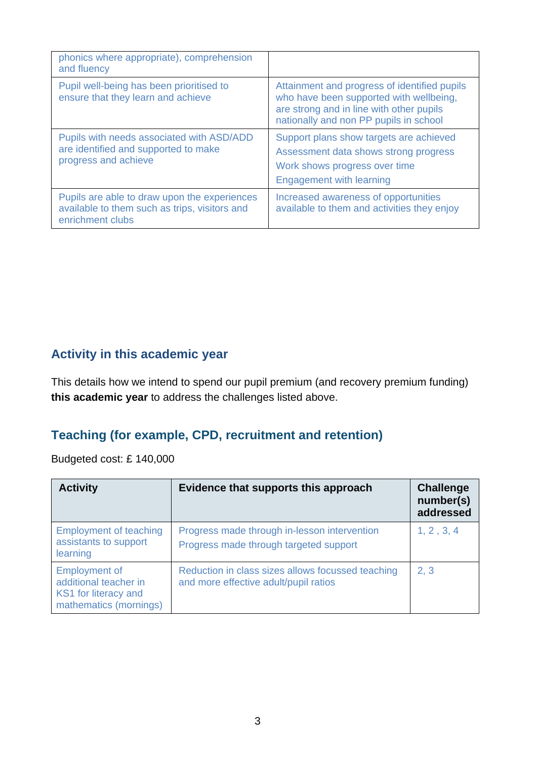| phonics where appropriate), comprehension<br>and fluency                                                          |                                                                                                                                                                               |
|-------------------------------------------------------------------------------------------------------------------|-------------------------------------------------------------------------------------------------------------------------------------------------------------------------------|
| Pupil well-being has been prioritised to<br>ensure that they learn and achieve                                    | Attainment and progress of identified pupils<br>who have been supported with wellbeing,<br>are strong and in line with other pupils<br>nationally and non PP pupils in school |
| Pupils with needs associated with ASD/ADD<br>are identified and supported to make<br>progress and achieve         | Support plans show targets are achieved<br>Assessment data shows strong progress<br>Work shows progress over time<br><b>Engagement with learning</b>                          |
| Pupils are able to draw upon the experiences<br>available to them such as trips, visitors and<br>enrichment clubs | Increased awareness of opportunities<br>available to them and activities they enjoy                                                                                           |

### **Activity in this academic year**

This details how we intend to spend our pupil premium (and recovery premium funding) **this academic year** to address the challenges listed above.

#### **Teaching (for example, CPD, recruitment and retention)**

Budgeted cost: £ 140,000

| <b>Activity</b>                                                                                 | Evidence that supports this approach                                                       | <b>Challenge</b><br>number(s)<br>addressed |
|-------------------------------------------------------------------------------------------------|--------------------------------------------------------------------------------------------|--------------------------------------------|
| <b>Employment of teaching</b><br>assistants to support<br>learning                              | Progress made through in-lesson intervention<br>Progress made through targeted support     | 1, 2, 3, 4                                 |
| <b>Employment of</b><br>additional teacher in<br>KS1 for literacy and<br>mathematics (mornings) | Reduction in class sizes allows focussed teaching<br>and more effective adult/pupil ratios | 2, 3                                       |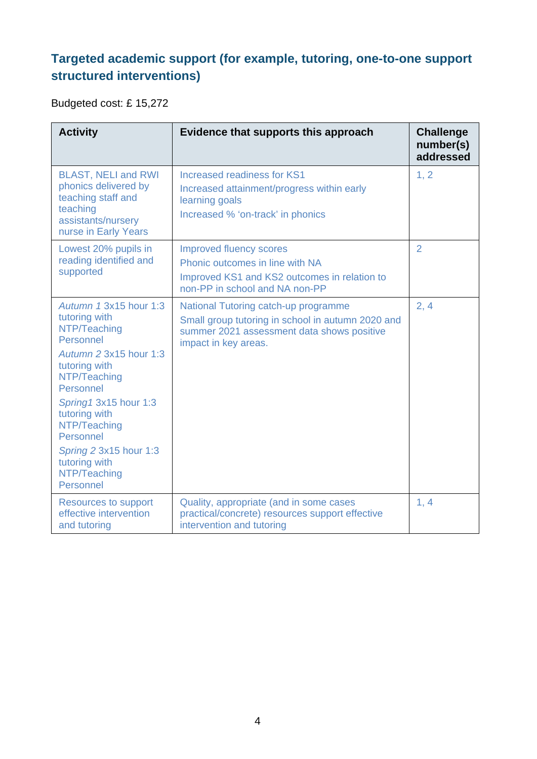## **Targeted academic support (for example, tutoring, one-to-one support structured interventions)**

Budgeted cost: £ 15,272

| <b>Activity</b>                                                                                                                                                                                                                                                                             | Evidence that supports this approach                                                                                                                            | <b>Challenge</b><br>number(s)<br>addressed |
|---------------------------------------------------------------------------------------------------------------------------------------------------------------------------------------------------------------------------------------------------------------------------------------------|-----------------------------------------------------------------------------------------------------------------------------------------------------------------|--------------------------------------------|
| <b>BLAST, NELI and RWI</b><br>phonics delivered by<br>teaching staff and<br>teaching<br>assistants/nursery<br>nurse in Early Years                                                                                                                                                          | <b>Increased readiness for KS1</b><br>Increased attainment/progress within early<br>learning goals<br>Increased % 'on-track' in phonics                         | 1, 2                                       |
| Lowest 20% pupils in<br>reading identified and<br>supported                                                                                                                                                                                                                                 | <b>Improved fluency scores</b><br>Phonic outcomes in line with NA<br>Improved KS1 and KS2 outcomes in relation to<br>non-PP in school and NA non-PP             | $\overline{2}$                             |
| Autumn 1 3x15 hour 1:3<br>tutoring with<br>NTP/Teaching<br>Personnel<br>Autumn 2 3x15 hour 1:3<br>tutoring with<br>NTP/Teaching<br>Personnel<br>Spring1 3x15 hour 1:3<br>tutoring with<br>NTP/Teaching<br>Personnel<br>Spring 2 3x15 hour 1:3<br>tutoring with<br>NTP/Teaching<br>Personnel | National Tutoring catch-up programme<br>Small group tutoring in school in autumn 2020 and<br>summer 2021 assessment data shows positive<br>impact in key areas. | 2, 4                                       |
| <b>Resources to support</b><br>effective intervention<br>and tutoring                                                                                                                                                                                                                       | Quality, appropriate (and in some cases<br>practical/concrete) resources support effective<br>intervention and tutoring                                         | 1, 4                                       |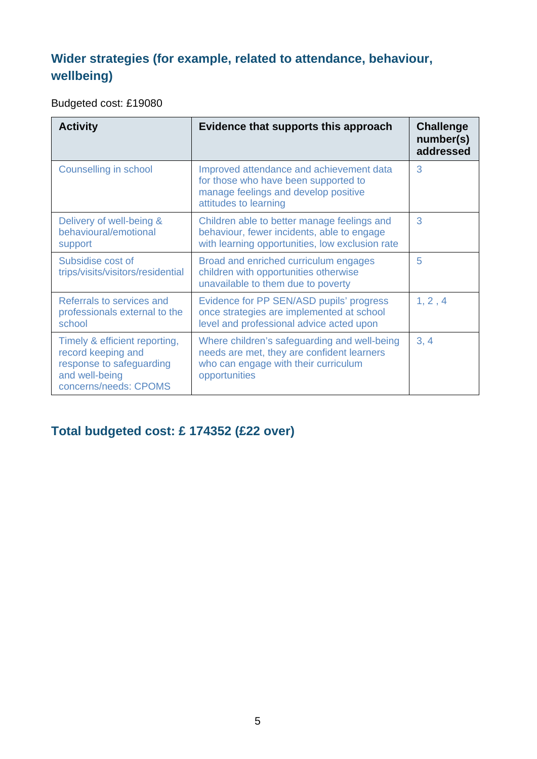## **Wider strategies (for example, related to attendance, behaviour, wellbeing)**

Budgeted cost: £19080

| <b>Activity</b>                                                                                                            | Evidence that supports this approach                                                                                                                | <b>Challenge</b><br>number(s)<br>addressed |
|----------------------------------------------------------------------------------------------------------------------------|-----------------------------------------------------------------------------------------------------------------------------------------------------|--------------------------------------------|
| <b>Counselling in school</b>                                                                                               | Improved attendance and achievement data<br>for those who have been supported to<br>manage feelings and develop positive<br>attitudes to learning   | 3                                          |
| Delivery of well-being &<br>behavioural/emotional<br>support                                                               | Children able to better manage feelings and<br>behaviour, fewer incidents, able to engage<br>with learning opportunities, low exclusion rate        | 3                                          |
| Subsidise cost of<br>trips/visits/visitors/residential                                                                     | Broad and enriched curriculum engages<br>children with opportunities otherwise<br>unavailable to them due to poverty                                | 5                                          |
| Referrals to services and<br>professionals external to the<br>school                                                       | Evidence for PP SEN/ASD pupils' progress<br>once strategies are implemented at school<br>level and professional advice acted upon                   | 1, 2, 4                                    |
| Timely & efficient reporting,<br>record keeping and<br>response to safeguarding<br>and well-being<br>concerns/needs: CPOMS | Where children's safeguarding and well-being<br>needs are met, they are confident learners<br>who can engage with their curriculum<br>opportunities | 3, 4                                       |

### **Total budgeted cost: £ 174352 (£22 over)**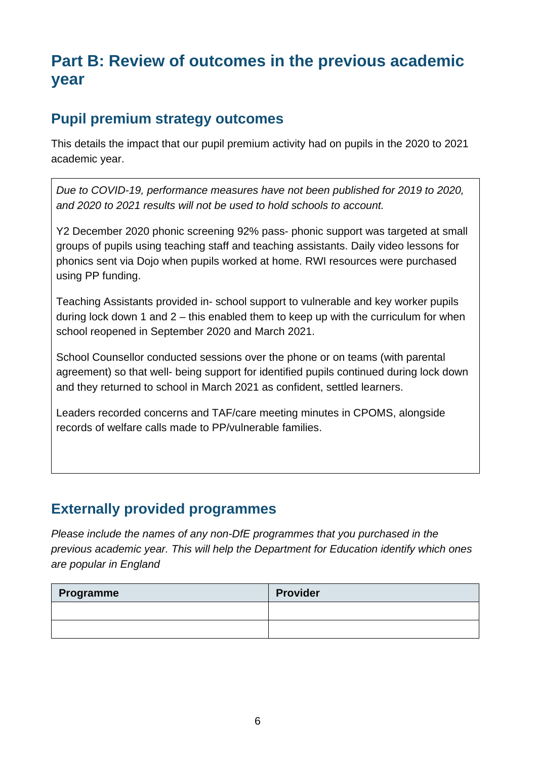# **Part B: Review of outcomes in the previous academic year**

### **Pupil premium strategy outcomes**

This details the impact that our pupil premium activity had on pupils in the 2020 to 2021 academic year.

*Due to COVID-19, performance measures have not been published for 2019 to 2020, and 2020 to 2021 results will not be used to hold schools to account.* 

Y2 December 2020 phonic screening 92% pass- phonic support was targeted at small groups of pupils using teaching staff and teaching assistants. Daily video lessons for phonics sent via Dojo when pupils worked at home. RWI resources were purchased using PP funding.

Teaching Assistants provided in- school support to vulnerable and key worker pupils during lock down 1 and  $2 -$  this enabled them to keep up with the curriculum for when school reopened in September 2020 and March 2021.

School Counsellor conducted sessions over the phone or on teams (with parental agreement) so that well- being support for identified pupils continued during lock down and they returned to school in March 2021 as confident, settled learners.

Leaders recorded concerns and TAF/care meeting minutes in CPOMS, alongside records of welfare calls made to PP/vulnerable families.

## **Externally provided programmes**

*Please include the names of any non-DfE programmes that you purchased in the previous academic year. This will help the Department for Education identify which ones are popular in England*

| Programme | <b>Provider</b> |
|-----------|-----------------|
|           |                 |
|           |                 |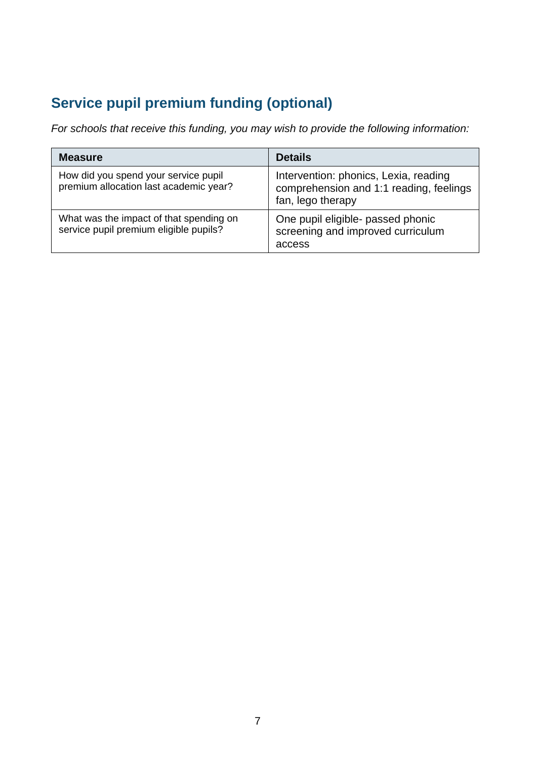# **Service pupil premium funding (optional)**

*For schools that receive this funding, you may wish to provide the following information:* 

| <b>Measure</b>                                                                    | <b>Details</b>                                                                                        |
|-----------------------------------------------------------------------------------|-------------------------------------------------------------------------------------------------------|
| How did you spend your service pupil<br>premium allocation last academic year?    | Intervention: phonics, Lexia, reading<br>comprehension and 1:1 reading, feelings<br>fan, lego therapy |
| What was the impact of that spending on<br>service pupil premium eligible pupils? | One pupil eligible- passed phonic<br>screening and improved curriculum<br>access                      |